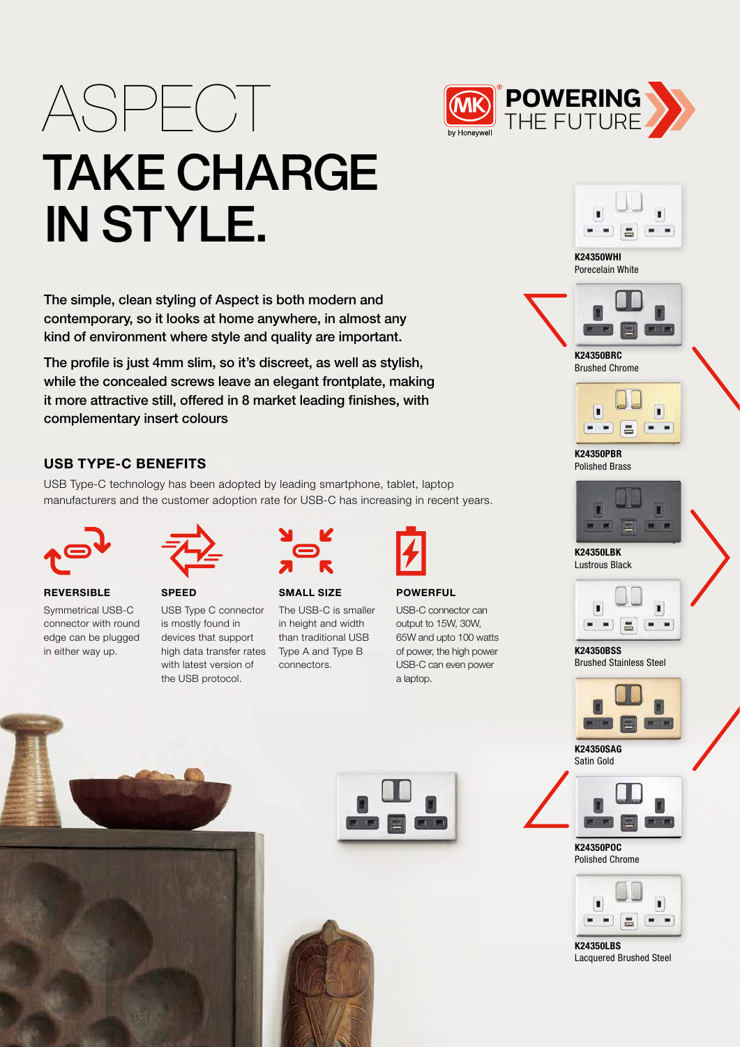# ASPECT **FOWERING** TAKE CHARGE IN STYLE.

The simple, clean styling of Aspect is both modern and contemporary, so it looks at home anywhere, in almost any kind of environment where style and quality are important.

The profile is just 4mm slim, so it's discreet, as well as stylish, while the concealed screws leave an elegant frontplate, making it more attractive still, offered in 8 market leading finishes, with complementary insert colours

## USB TYPE-C BENEFITS

USB Type-C technology has been adopted by leading smartphone, tablet, laptop manufacturers and the customer adoption rate for USB-C has increasing in recent years.



**REVERSIBLE** Symmetrical USB-C connector with round edge can be plugged



SPEED USB Type C connector is mostly found in devices that support with latest version of the USB protocol.



SMALL SIZE The USB-C is smaller in height and width

than traditional USB Type A and Type B connectors.



**POWERFUL** 

USB-C connector can output to 15W, 30W, 65W and upto 100 watts of power, the high power USB-C can even power a laptop.



K24350WHI Porecelain White



Brushed Chrome



K24350PBR Polished Brass



K24350LBK Lustrous Black



K24350BSS Brushed Stainless Steel



K24350SAG Satin Gold



K24350POC Polished Chrome



K24350LBS Lacquered Brushed Steel